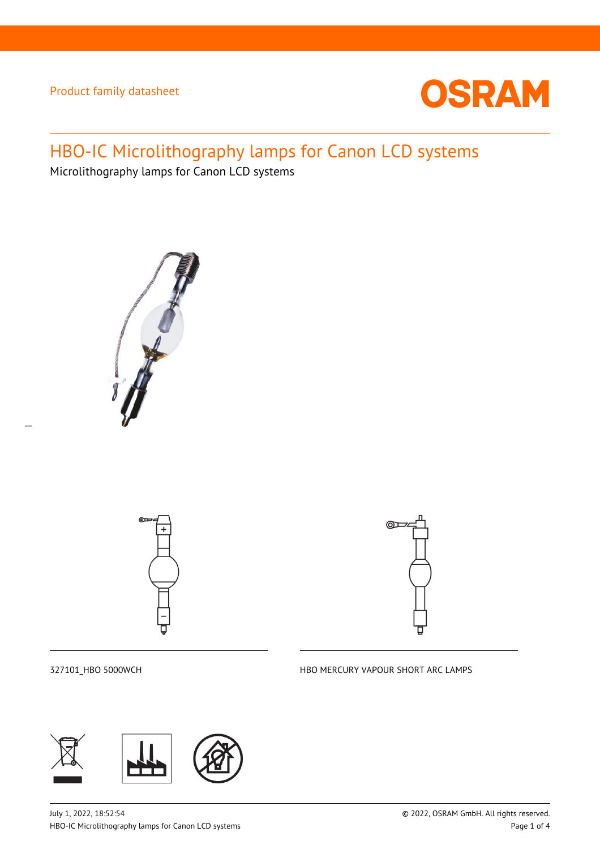

# HBO-IC Microlithography lamps for Canon LCD systems

Microlithography lamps for Canon LCD systems









327101\_HBO 5000WCH HBO MERCURY VAPOUR SHORT ARC LAMPS

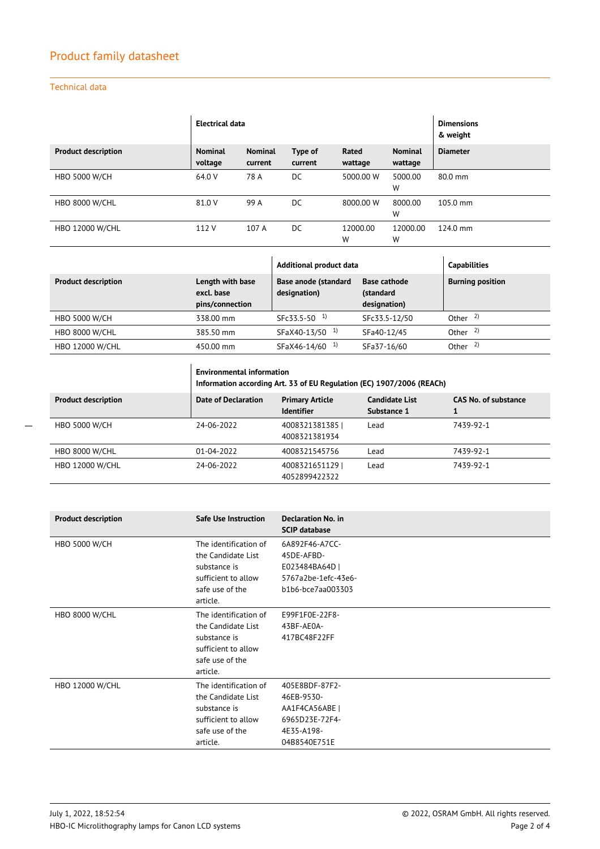### Technical data

|                            | Electrical data           |                           |                    |                  | <b>Dimensions</b><br>& weight |                    |
|----------------------------|---------------------------|---------------------------|--------------------|------------------|-------------------------------|--------------------|
| <b>Product description</b> | <b>Nominal</b><br>voltage | <b>Nominal</b><br>current | Type of<br>current | Rated<br>wattage | <b>Nominal</b><br>wattage     | <b>Diameter</b>    |
|                            | 64.0 V                    |                           |                    | 5000.00 W        |                               |                    |
| <b>HBO 5000 W/CH</b>       |                           | 78 A                      | DC                 |                  | 5000.00<br>W                  | 80.0 mm            |
| <b>HBO 8000 W/CHL</b>      | 81.0 V                    | 99 A                      | DC                 | 8000.00 W        | 8000.00<br>W                  | $105.0 \text{ mm}$ |
|                            |                           |                           |                    |                  |                               |                    |
| <b>HBO 12000 W/CHL</b>     | 112 V                     | 107 A                     | DC.                | 12000.00         | 12000.00                      | $124.0 \text{ mm}$ |
|                            |                           |                           |                    | W                | W                             |                    |

|                            |                                                   | Additional product data                     |                                                  | <b>Capabilities</b>     |
|----------------------------|---------------------------------------------------|---------------------------------------------|--------------------------------------------------|-------------------------|
| <b>Product description</b> | Length with base<br>excl. base<br>pins/connection | <b>Base anode (standard</b><br>designation) | <b>Base cathode</b><br>(standard<br>designation) | <b>Burning position</b> |
| <b>HBO 5000 W/CH</b>       | 338.00 mm                                         | $SFC 33.5 - 50$ <sup>1)</sup>               | SFc33.5-12/50                                    | Other $^{2)}$           |
| <b>HBO 8000 W/CHL</b>      | 385.50 mm                                         | SFaX40-13/50 <sup>1)</sup>                  | SFa40-12/45                                      | Other $^{2)}$           |
| <b>HBO 12000 W/CHL</b>     | 450.00 mm                                         | SFaX46-14/60 <sup>1)</sup>                  | SFa37-16/60                                      | Other $2$ )             |

 $\overline{1}$ 

|                            | <b>Environmental information</b><br>Information according Art. 33 of EU Regulation (EC) 1907/2006 (REACh) |                                             |                                      |                      |
|----------------------------|-----------------------------------------------------------------------------------------------------------|---------------------------------------------|--------------------------------------|----------------------|
| <b>Product description</b> | Date of Declaration                                                                                       | <b>Primary Article</b><br><b>Identifier</b> | <b>Candidate List</b><br>Substance 1 | CAS No. of substance |
| <b>HBO 5000 W/CH</b>       | 24-06-2022                                                                                                | 4008321381385<br>4008321381934              | Lead                                 | 7439-92-1            |
| <b>HBO 8000 W/CHL</b>      | 01-04-2022                                                                                                | 4008321545756                               | Lead                                 | 7439-92-1            |
| <b>HBO 12000 W/CHL</b>     | 24-06-2022                                                                                                | 40083216511291<br>4052899422322             | Lead                                 | 7439-92-1            |

| <b>Product description</b> | Safe Use Instruction  | <b>Declaration No. in</b><br><b>SCIP database</b> |
|----------------------------|-----------------------|---------------------------------------------------|
| <b>HBO 5000 W/CH</b>       | The identification of | 6A892F46-A7CC-                                    |
|                            | the Candidate List    | 45DE-AFBD-                                        |
|                            | substance is          | E023484BA64D                                      |
|                            | sufficient to allow   | 5767a2be-1efc-43e6-                               |
|                            | safe use of the       | b1b6-bce7aa003303                                 |
|                            | article.              |                                                   |
| <b>HBO 8000 W/CHL</b>      | The identification of | E99F1F0E-22F8-                                    |
|                            | the Candidate List    | 43BF-AE0A-                                        |
|                            | substance is          | 417BC48F22FF                                      |
|                            | sufficient to allow   |                                                   |
|                            | safe use of the       |                                                   |
|                            | article.              |                                                   |
| <b>HBO 12000 W/CHL</b>     | The identification of | 405E8BDF-87F2-                                    |
|                            | the Candidate List    | 46EB-9530-                                        |
|                            | substance is          | AA1F4CA56ABE                                      |
|                            | sufficient to allow   | 6965D23E-72F4-                                    |
|                            | safe use of the       | 4E35-A198-                                        |
|                            | article.              | 04B8540E751E                                      |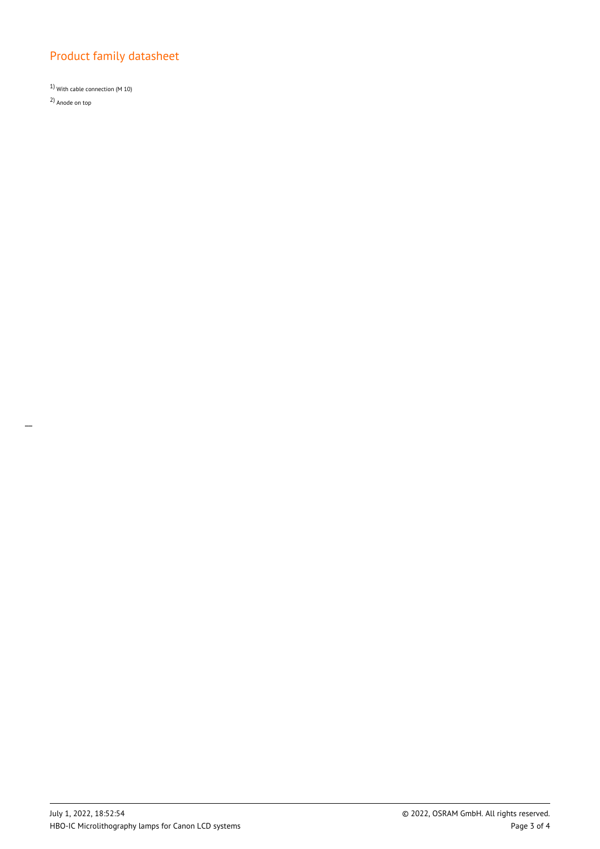1) With cable connection (M 10) 2) Anode on top

 $\overline{a}$